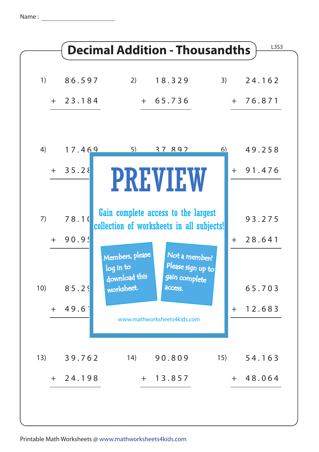